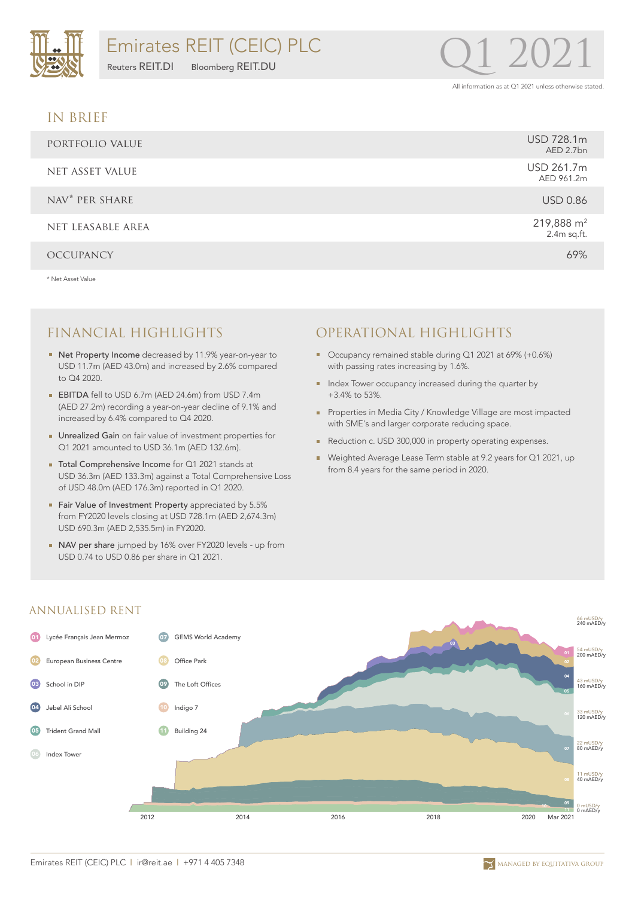

#### IN BRIEF

| PORTFOLIO VALUE            | USD 728.1m<br>AED 2.7bn     |
|----------------------------|-----------------------------|
| NET ASSET VALUE            | USD 261.7m<br>AED 961.2m    |
| NAV <sup>*</sup> PER SHARE | <b>USD 0.86</b>             |
| NET LEASABLE AREA          | 219,888 $m2$<br>2.4m sq.ft. |
| <b>OCCUPANCY</b>           | 69%                         |

\* Net Asset Value

- Net Property Income decreased by 11.9% year-on-year to USD 11.7m (AED 43.0m) and increased by 2.6% compared to Q4 2020.
- **EBITDA** fell to USD 6.7m (AED 24.6m) from USD 7.4m (AED 27.2m) recording a year-on-year decline of 9.1% and increased by 6.4% compared to Q4 2020.
- Unrealized Gain on fair value of investment properties for Q1 2021 amounted to USD 36.1m (AED 132.6m).
- Total Comprehensive Income for Q1 2021 stands at USD 36.3m (AED 133.3m) against a Total Comprehensive Loss of USD 48.0m (AED 176.3m) reported in Q1 2020.
- Fair Value of Investment Property appreciated by 5.5% from FY2020 levels closing at USD 728.1m (AED 2,674.3m) USD 690.3m (AED 2,535.5m) in FY2020.
- NAV per share jumped by 16% over FY2020 levels up from USD 0.74 to USD 0.86 per share in Q1 2021.

## FINANCIAL HIGHLIGHTS OPERATIONAL HIGHLIGHTS

- Occupancy remained stable during Q1 2021 at 69% (+0.6%) with passing rates increasing by 1.6%.
- Index Tower occupancy increased during the quarter by +3.4% to 53%.
- **Properties in Media City / Knowledge Village are most impacted** with SME's and larger corporate reducing space.
- Reduction c. USD 300,000 in property operating expenses.
- Weighted Average Lease Term stable at 9.2 years for Q1 2021, up from 8.4 years for the same period in 2020.



#### ANNUALISED RENT